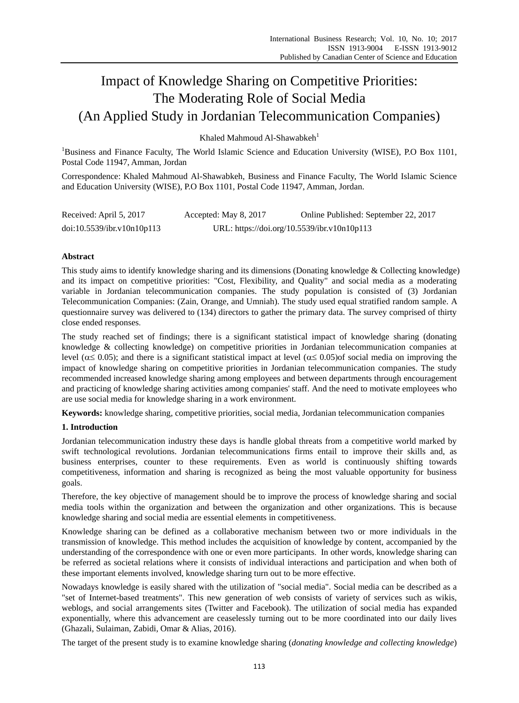# Impact of Knowledge Sharing on Competitive Priorities: The Moderating Role of Social Media (An Applied Study in Jordanian Telecommunication Companies)

Khaled Mahmoud Al-Shawabkeh<sup>1</sup>

<sup>1</sup>Business and Finance Faculty, The World Islamic Science and Education University (WISE), P.O Box 1101, Postal Code 11947, Amman, Jordan

Correspondence: Khaled Mahmoud Al-Shawabkeh, Business and Finance Faculty, The World Islamic Science and Education University (WISE), P.O Box 1101, Postal Code 11947, Amman, Jordan.

| Received: April 5, 2017    | Accepted: May 8, 2017 | Online Published: September 22, 2017        |
|----------------------------|-----------------------|---------------------------------------------|
| doi:10.5539/ibr.v10n10p113 |                       | URL: https://doi.org/10.5539/ibr.v10n10p113 |

# **Abstract**

This study aims to identify knowledge sharing and its dimensions (Donating knowledge & Collecting knowledge) and its impact on competitive priorities: "Cost, Flexibility, and Quality" and social media as a moderating variable in Jordanian telecommunication companies. The study population is consisted of (3) Jordanian Telecommunication Companies: (Zain, Orange, and Umniah). The study used equal stratified random sample. A questionnaire survey was delivered to (134) directors to gather the primary data. The survey comprised of thirty close ended responses.

The study reached set of findings; there is a significant statistical impact of knowledge sharing (donating knowledge & collecting knowledge) on competitive priorities in Jordanian telecommunication companies at level ( $\alpha \le 0.05$ ); and there is a significant statistical impact at level ( $\alpha \le 0.05$ ) of social media on improving the impact of knowledge sharing on competitive priorities in Jordanian telecommunication companies. The study recommended increased knowledge sharing among employees and between departments through encouragement and practicing of knowledge sharing activities among companies' staff. And the need to motivate employees who are use social media for knowledge sharing in a work environment.

**Keywords:** knowledge sharing, competitive priorities, social media, Jordanian telecommunication companies

# **1. Introduction**

Jordanian telecommunication industry these days is handle global threats from a competitive world marked by swift technological revolutions. Jordanian telecommunications firms entail to improve their skills and, as business enterprises, counter to these requirements. Even as world is continuously shifting towards competitiveness, information and sharing is recognized as being the most valuable opportunity for business goals.

Therefore, the key objective of management should be to improve the process of knowledge sharing and social media tools within the organization and between the organization and other organizations. This is because knowledge sharing and social media are essential elements in competitiveness.

Knowledge sharing can be defined as a collaborative mechanism between two or more individuals in the transmission of knowledge. This method includes the acquisition of knowledge by content, accompanied by the understanding of the correspondence with one or even more participants. In other words, knowledge sharing can be referred as societal relations where it consists of individual interactions and participation and when both of these important elements involved, knowledge sharing turn out to be more effective.

Nowadays knowledge is easily shared with the utilization of "social media". Social media can be described as a "set of Internet-based treatments". This new generation of web consists of variety of services such as wikis, weblogs, and social arrangements sites (Twitter and Facebook). The utilization of social media has expanded exponentially, where this advancement are ceaselessly turning out to be more coordinated into our daily lives (Ghazali, Sulaiman, Zabidi, Omar & Alias, 2016).

The target of the present study is to examine knowledge sharing (*donating knowledge and collecting knowledge*)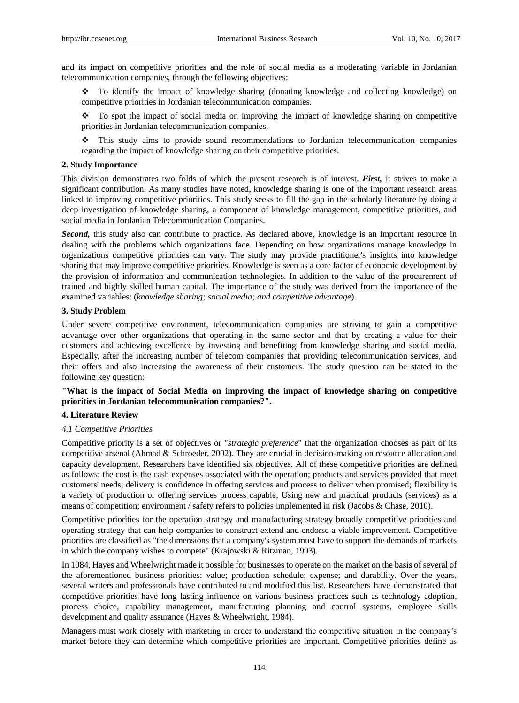and its impact on competitive priorities and the role of social media as a moderating variable in Jordanian telecommunication companies, through the following objectives:

 To identify the impact of knowledge sharing (donating knowledge and collecting knowledge) on competitive priorities in Jordanian telecommunication companies.

 To spot the impact of social media on improving the impact of knowledge sharing on competitive priorities in Jordanian telecommunication companies.

 This study aims to provide sound recommendations to Jordanian telecommunication companies regarding the impact of knowledge sharing on their competitive priorities.

#### **2. Study Importance**

This division demonstrates two folds of which the present research is of interest. *First,* it strives to make a significant contribution. As many studies have noted, knowledge sharing is one of the important research areas linked to improving competitive priorities. This study seeks to fill the gap in the scholarly literature by doing a deep investigation of knowledge sharing, a component of knowledge management, competitive priorities, and social media in Jordanian Telecommunication Companies.

*Second,* this study also can contribute to practice. As declared above, knowledge is an important resource in dealing with the problems which organizations face. Depending on how organizations manage knowledge in organizations competitive priorities can vary. The study may provide practitioner's insights into knowledge sharing that may improve competitive priorities. Knowledge is seen as a core factor of economic development by the provision of information and communication technologies. In addition to the value of the procurement of trained and highly skilled human capital. The importance of the study was derived from the importance of the examined variables: (*knowledge sharing; social media; and competitive advantage*).

## **3. Study Problem**

Under severe competitive environment, telecommunication companies are striving to gain a competitive advantage over other organizations that operating in the same sector and that by creating a value for their customers and achieving excellence by investing and benefiting from knowledge sharing and social media. Especially, after the increasing number of telecom companies that providing telecommunication services, and their offers and also increasing the awareness of their customers. The study question can be stated in the following key question:

# **"What is the impact of Social Media on improving the impact of knowledge sharing on competitive priorities in Jordanian telecommunication companies?".**

### **4. Literature Review**

#### *4.1 Competitive Priorities*

Competitive priority is a set of objectives or "*strategic preference*" that the organization chooses as part of its competitive arsenal (Ahmad & Schroeder, 2002). They are crucial in decision-making on resource allocation and capacity development. Researchers have identified six objectives. All of these competitive priorities are defined as follows: the cost is the cash expenses associated with the operation; products and services provided that meet customers' needs; delivery is confidence in offering services and process to deliver when promised; flexibility is a variety of production or offering services process capable; Using new and practical products (services) as a means of competition; environment / safety refers to policies implemented in risk (Jacobs & Chase, 2010).

Competitive priorities for the operation strategy and manufacturing strategy broadly competitive priorities and operating strategy that can help companies to construct extend and endorse a viable improvement. Competitive priorities are classified as "the dimensions that a company's system must have to support the demands of markets in which the company wishes to compete" (Krajowski & Ritzman, 1993).

In 1984, Hayes and Wheelwright made it possible for businesses to operate on the market on the basis of several of the aforementioned business priorities: value; production schedule; expense; and durability. Over the years, several writers and professionals have contributed to and modified this list. Researchers have demonstrated that competitive priorities have long lasting influence on various business practices such as technology adoption, process choice, capability management, manufacturing planning and control systems, employee skills development and quality assurance (Hayes & Wheelwright, 1984).

Managers must work closely with marketing in order to understand the competitive situation in the company's market before they can determine which competitive priorities are important. Competitive priorities define as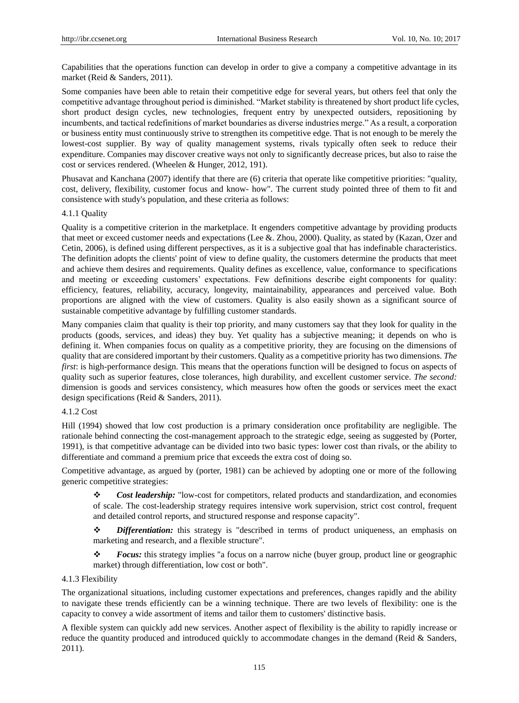Capabilities that the operations function can develop in order to give a company a competitive advantage in its market (Reid & Sanders, 2011).

Some companies have been able to retain their competitive edge for several years, but others feel that only the competitive advantage throughout period is diminished. "Market stability is threatened by short product life cycles, short product design cycles, new technologies, frequent entry by unexpected outsiders, repositioning by incumbents, and tactical redefinitions of market boundaries as diverse industries merge." As a result, a corporation or business entity must continuously strive to strengthen its competitive edge. That is not enough to be merely the lowest-cost supplier. By way of quality management systems, rivals typically often seek to reduce their expenditure. Companies may discover creative ways not only to significantly decrease prices, but also to raise the cost or services rendered. (Wheelen & Hunger, 2012, 191).

Phusavat and Kanchana (2007) identify that there are (6) criteria that operate like competitive priorities: "quality, cost, delivery, flexibility, customer focus and know- how". The current study pointed three of them to fit and consistence with study's population, and these criteria as follows:

# 4.1.1 Quality

Quality is a competitive criterion in the marketplace. It engenders competitive advantage by providing products that meet or exceed customer needs and expectations (Lee &. Zhou, 2000). Quality, as stated by (Kazan, Ozer and Cetin, 2006), is defined using different perspectives, as it is a subjective goal that has indefinable characteristics. The definition adopts the clients' point of view to define quality, the customers determine the products that meet and achieve them desires and requirements. Quality defines as excellence, value, conformance to specifications and meeting or exceeding customers' expectations. Few definitions describe eight components for quality: efficiency, features, reliability, accuracy, longevity, maintainability, appearances and perceived value. Both proportions are aligned with the view of customers. Quality is also easily shown as a significant source of sustainable competitive advantage by fulfilling customer standards.

Many companies claim that quality is their top priority, and many customers say that they look for quality in the products (goods, services, and ideas) they buy. Yet quality has a subjective meaning; it depends on who is defining it. When companies focus on quality as a competitive priority, they are focusing on the dimensions of quality that are considered important by their customers. Quality as a competitive priority has two dimensions. *The first*: is high-performance design. This means that the operations function will be designed to focus on aspects of quality such as superior features, close tolerances, high durability, and excellent customer service. *The second:* dimension is goods and services consistency, which measures how often the goods or services meet the exact design specifications (Reid & Sanders, 2011).

# 4.1.2 Cost

Hill (1994) showed that low cost production is a primary consideration once profitability are negligible. The rationale behind connecting the cost-management approach to the strategic edge, seeing as suggested by (Porter, 1991), is that competitive advantage can be divided into two basic types: lower cost than rivals, or the ability to differentiate and command a premium price that exceeds the extra cost of doing so.

Competitive advantage, as argued by (porter, 1981) can be achieved by adopting one or more of the following generic competitive strategies:

 *Cost leadership:* "low-cost for competitors, related products and standardization, and economies of scale. The cost-leadership strategy requires intensive work supervision, strict cost control, frequent and detailed control reports, and structured response and response capacity".

 *Differentiation:* this strategy is "described in terms of product uniqueness, an emphasis on marketing and research, and a flexible structure".

 *Focus:* this strategy implies "a focus on a narrow niche (buyer group, product line or geographic market) through differentiation, low cost or both".

# 4.1.3 Flexibility

The organizational situations, including customer expectations and preferences, changes rapidly and the ability to navigate these trends efficiently can be a winning technique. There are two levels of flexibility: one is the capacity to convey a wide assortment of items and tailor them to customers' distinctive basis.

A flexible system can quickly add new services. Another aspect of flexibility is the ability to rapidly increase or reduce the quantity produced and introduced quickly to accommodate changes in the demand (Reid & Sanders, 2011).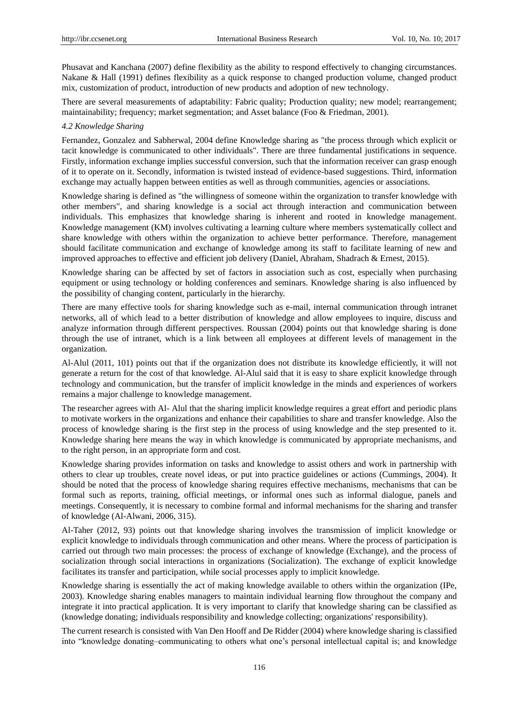Phusavat and Kanchana (2007) define flexibility as the ability to respond effectively to changing circumstances. Nakane & Hall (1991) defines flexibility as a quick response to changed production volume, changed product mix, customization of product, introduction of new products and adoption of new technology.

There are several measurements of adaptability: Fabric quality; Production quality; new model; rearrangement; maintainability; frequency; market segmentation; and Asset balance (Foo & Friedman, 2001).

### *4.2 Knowledge Sharing*

Fernandez, Gonzalez and Sabherwal, 2004 define Knowledge sharing as "the process through which explicit or tacit knowledge is communicated to other individuals". There are three fundamental justifications in sequence. Firstly, information exchange implies successful conversion, such that the information receiver can grasp enough of it to operate on it. Secondly, information is twisted instead of evidence-based suggestions. Third, information exchange may actually happen between entities as well as through communities, agencies or associations.

Knowledge sharing is defined as "the willingness of someone within the organization to transfer knowledge with other members", and sharing knowledge is a social act through interaction and communication between individuals. This emphasizes that knowledge sharing is inherent and rooted in knowledge management. Knowledge management (KM) involves cultivating a learning culture where members systematically collect and share knowledge with others within the organization to achieve better performance. Therefore, management should facilitate communication and exchange of knowledge among its staff to facilitate learning of new and improved approaches to effective and efficient job delivery (Daniel, Abraham, Shadrach & Ernest, 2015).

Knowledge sharing can be affected by set of factors in association such as cost, especially when purchasing equipment or using technology or holding conferences and seminars. Knowledge sharing is also influenced by the possibility of changing content, particularly in the hierarchy.

There are many effective tools for sharing knowledge such as e-mail, internal communication through intranet networks, all of which lead to a better distribution of knowledge and allow employees to inquire, discuss and analyze information through different perspectives. Roussan (2004) points out that knowledge sharing is done through the use of intranet, which is a link between all employees at different levels of management in the organization.

Al-Alul (2011, 101) points out that if the organization does not distribute its knowledge efficiently, it will not generate a return for the cost of that knowledge. Al-Alul said that it is easy to share explicit knowledge through technology and communication, but the transfer of implicit knowledge in the minds and experiences of workers remains a major challenge to knowledge management.

The researcher agrees with Al- Alul that the sharing implicit knowledge requires a great effort and periodic plans to motivate workers in the organizations and enhance their capabilities to share and transfer knowledge. Also the process of knowledge sharing is the first step in the process of using knowledge and the step presented to it. Knowledge sharing here means the way in which knowledge is communicated by appropriate mechanisms, and to the right person, in an appropriate form and cost.

Knowledge sharing provides information on tasks and knowledge to assist others and work in partnership with others to clear up troubles, create novel ideas, or put into practice guidelines or actions (Cummings, 2004). It should be noted that the process of knowledge sharing requires effective mechanisms, mechanisms that can be formal such as reports, training, official meetings, or informal ones such as informal dialogue, panels and meetings. Consequently, it is necessary to combine formal and informal mechanisms for the sharing and transfer of knowledge (Al-Alwani, 2006, 315).

Al-Taher (2012, 93) points out that knowledge sharing involves the transmission of implicit knowledge or explicit knowledge to individuals through communication and other means. Where the process of participation is carried out through two main processes: the process of exchange of knowledge (Exchange), and the process of socialization through social interactions in organizations (Socialization). The exchange of explicit knowledge facilitates its transfer and participation, while social processes apply to implicit knowledge.

Knowledge sharing is essentially the act of making knowledge available to others within the organization (IPe, 2003). Knowledge sharing enables managers to maintain individual learning flow throughout the company and integrate it into practical application. It is very important to clarify that knowledge sharing can be classified as (knowledge donating; individuals responsibility and knowledge collecting; organizations' responsibility).

The current research is consisted with Van Den Hooff and De Ridder (2004) where knowledge sharing is classified into "knowledge donating–communicating to others what one's personal intellectual capital is; and knowledge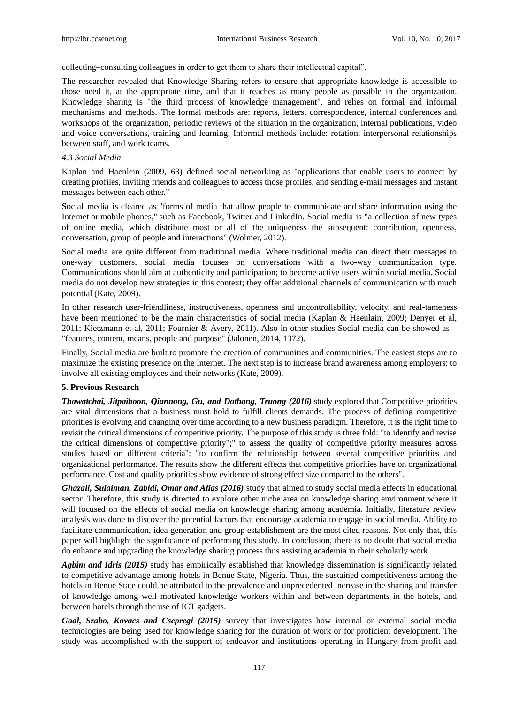collecting–consulting colleagues in order to get them to share their intellectual capital".

The researcher revealed that Knowledge Sharing refers to ensure that appropriate knowledge is accessible to those need it, at the appropriate time, and that it reaches as many people as possible in the organization. Knowledge sharing is "the third process of knowledge management", and relies on formal and informal mechanisms and methods. The formal methods are: reports, letters, correspondence, internal conferences and workshops of the organization, periodic reviews of the situation in the organization, internal publications, video and voice conversations, training and learning. Informal methods include: rotation, interpersonal relationships between staff, and work teams.

#### *4.3 Social Media*

Kaplan and Haenlein (2009, 63) defined social networking as "applications that enable users to connect by creating profiles, inviting friends and colleagues to access those profiles, and sending e-mail messages and instant messages between each other."

Social media is cleared as "forms of media that allow people to communicate and share information using the Internet or mobile phones," such as Facebook, Twitter and LinkedIn. Social media is "a collection of new types of online media, which distribute most or all of the uniqueness the subsequent: contribution, openness, conversation, group of people and interactions" (Wolmer, 2012).

Social media are quite different from traditional media. Where traditional media can direct their messages to one-way customers, social media focuses on conversations with a two-way communication type. Communications should aim at authenticity and participation; to become active users within social media. Social media do not develop new strategies in this context; they offer additional channels of communication with much potential (Kate, 2009).

In other research user-friendliness, instructiveness, openness and uncontrollability, velocity, and real-tameness have been mentioned to be the main characteristics of social media (Kaplan & Haenlain, 2009; Denyer et al, 2011; Kietzmann et al, 2011; Fournier & Avery, 2011). Also in other studies Social media can be showed as – "features, content, means, people and purpose" (Jalonen, 2014, 1372).

Finally, Social media are built to promote the creation of communities and communities. The easiest steps are to maximize the existing presence on the Internet. The next step is to increase brand awareness among employers; to involve all existing employees and their networks (Kate, 2009).

## **5. Previous Research**

*Thawatchai, Jitpaiboon, Qiannong, Gu, and Dothang, Truong (2016)* study explored that Competitive priorities are vital dimensions that a business must hold to fulfill clients demands. The process of defining competitive priorities is evolving and changing over time according to a new business paradigm. Therefore, it is the right time to revisit the critical dimensions of competitive priority. The purpose of this study is three fold: "to identify and revise the critical dimensions of competitive priority";" to assess the quality of competitive priority measures across studies based on different criteria"; "to confirm the relationship between several competitive priorities and organizational performance. The results show the different effects that competitive priorities have on organizational performance. Cost and quality priorities show evidence of strong effect size compared to the others".

*Ghazali, Sulaiman, Zabidi, Omar and Alias (2016)* study that aimed to study social media effects in educational sector. Therefore, this study is directed to explore other niche area on knowledge sharing environment where it will focused on the effects of social media on knowledge sharing among academia. Initially, literature review analysis was done to discover the potential factors that encourage academia to engage in social media. Ability to facilitate communication, idea generation and group establishment are the most cited reasons. Not only that, this paper will highlight the significance of performing this study. In conclusion, there is no doubt that social media do enhance and upgrading the knowledge sharing process thus assisting academia in their scholarly work.

*Agbim and Idris (2015)* study has empirically established that knowledge dissemination is significantly related to competitive advantage among hotels in Benue State, Nigeria. Thus, the sustained competitiveness among the hotels in Benue State could be attributed to the prevalence and unprecedented increase in the sharing and transfer of knowledge among well motivated knowledge workers within and between departments in the hotels, and between hotels through the use of ICT gadgets.

*Gaal, Szabo, Kovacs and Csepregi (2015)* survey that investigates how internal or external social media technologies are being used for knowledge sharing for the duration of work or for proficient development. The study was accomplished with the support of endeavor and institutions operating in Hungary from profit and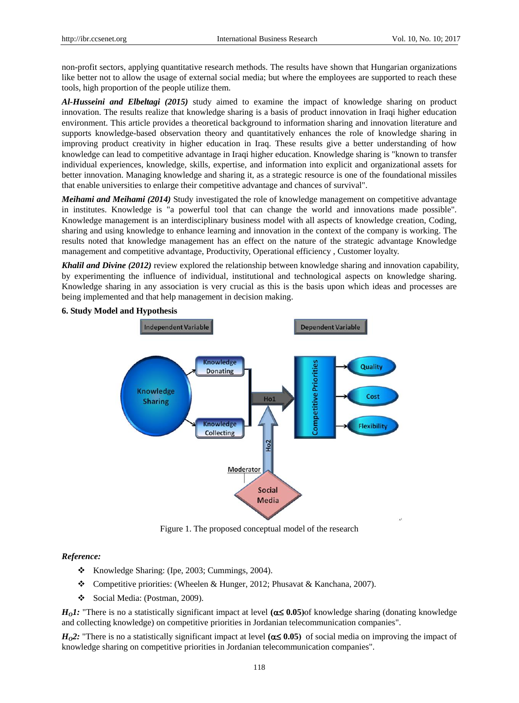non-profit sectors, applying quantitative research methods. The results have shown that Hungarian organizations like better not to allow the usage of external social media; but where the employees are supported to reach these tools, high proportion of the people utilize them.

*Al-Husseini and Elbeltagi (2015)* study aimed to examine the impact of knowledge sharing on product innovation. The results realize that knowledge sharing is a basis of product innovation in Iraqi higher education environment. This article provides a theoretical background to information sharing and innovation literature and supports knowledge-based observation theory and quantitatively enhances the role of knowledge sharing in improving product creativity in higher education in Iraq. These results give a better understanding of how knowledge can lead to competitive advantage in Iraqi higher education. Knowledge sharing is "known to transfer individual experiences, knowledge, skills, expertise, and information into explicit and organizational assets for better innovation. Managing knowledge and sharing it, as a strategic resource is one of the foundational missiles that enable universities to enlarge their competitive advantage and chances of survival".

*Meihami and Meihami (2014)* Study investigated the role of knowledge management on competitive advantage in institutes. Knowledge is "a powerful tool that can change the world and innovations made possible". Knowledge management is an interdisciplinary business model with all aspects of knowledge creation, Coding, sharing and using knowledge to enhance learning and innovation in the context of the company is working. The results noted that knowledge management has an effect on the nature of the strategic advantage Knowledge management and competitive advantage, Productivity, Operational efficiency , Customer loyalty.

*Khalil and Divine (2012)* review explored the relationship between knowledge sharing and innovation capability, by experimenting the influence of individual, institutional and technological aspects on knowledge sharing. Knowledge sharing in any association is very crucial as this is the basis upon which ideas and processes are being implemented and that help management in decision making.



**6. Study Model and Hypothesis**

Figure 1. The proposed conceptual model of the research

## *Reference:*

- \* Knowledge Sharing: (Ipe, 2003; Cummings, 2004).
- Competitive priorities: (Wheelen & Hunger, 2012; Phusavat & Kanchana, 2007).
- Social Media: (Postman, 2009).

 $H_0I$ : "There is no a statistically significant impact at level  $(\alpha \leq 0.05)$  of knowledge sharing (donating knowledge and collecting knowledge) on competitive priorities in Jordanian telecommunication companies".

 $H_0$ 2: "There is no a statistically significant impact at level  $(\alpha \le 0.05)$  of social media on improving the impact of knowledge sharing on competitive priorities in Jordanian telecommunication companies".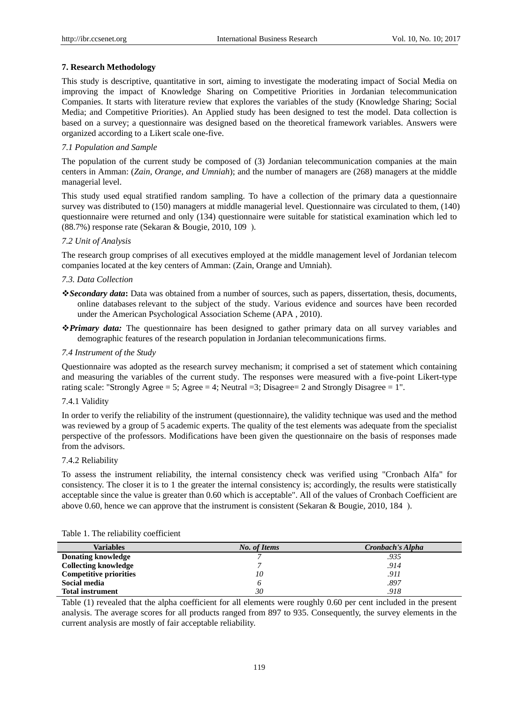# **7. Research Methodology**

This study is descriptive, quantitative in sort, aiming to investigate the moderating impact of Social Media on improving the impact of Knowledge Sharing on Competitive Priorities in Jordanian telecommunication Companies. It starts with literature review that explores the variables of the study (Knowledge Sharing; Social Media; and Competitive Priorities). An Applied study has been designed to test the model. Data collection is based on a survey; a questionnaire was designed based on the theoretical framework variables. Answers were organized according to a Likert scale one-five.

# *7.1 Population and Sample*

The population of the current study be composed of (3) Jordanian telecommunication companies at the main centers in Amman: (*Zain, Orange, and Umniah*); and the number of managers are (268) managers at the middle managerial level.

This study used equal stratified random sampling. To have a collection of the primary data a questionnaire survey was distributed to (150) managers at middle managerial level. Questionnaire was circulated to them, (140) questionnaire were returned and only (134) questionnaire were suitable for statistical examination which led to (88.7%) response rate (Sekaran & Bougie, 2010, 109 (.

# *7.2 Unit of Analysis*

The research group comprises of all executives employed at the middle management level of Jordanian telecom companies located at the key centers of Amman: (Zain, Orange and Umniah).

# *7.3. Data Collection*

- *Secondary data***:** Data was obtained from a number of sources, such as papers, dissertation, thesis, documents, online databases relevant to the subject of the study. Various evidence and sources have been recorded under the American Psychological Association Scheme (APA , 2010).
- *Primary data:* The questionnaire has been designed to gather primary data on all survey variables and demographic features of the research population in Jordanian telecommunications firms.

# *7.4 Instrument of the Study*

Questionnaire was adopted as the research survey mechanism; it comprised a set of statement which containing and measuring the variables of the current study. The responses were measured with a five-point Likert-type rating scale: "Strongly Agree = 5; Agree = 4; Neutral = 3; Disagree = 2 and Strongly Disagree = 1".

# 7.4.1 Validity

In order to verify the reliability of the instrument (questionnaire), the validity technique was used and the method was reviewed by a group of 5 academic experts. The quality of the test elements was adequate from the specialist perspective of the professors. Modifications have been given the questionnaire on the basis of responses made from the advisors.

# 7.4.2 Reliability

To assess the instrument reliability, the internal consistency check was verified using "Cronbach Alfa" for consistency. The closer it is to 1 the greater the internal consistency is; accordingly, the results were statistically acceptable since the value is greater than 0.60 which is acceptable". All of the values of Cronbach Coefficient are above 0.60, hence we can approve that the instrument is consistent (Sekaran & Bougie, 2010, 184).

| <b>Variables</b>              | No. of Items | Cronbach's Alpha |
|-------------------------------|--------------|------------------|
| <b>Donating knowledge</b>     |              | .935             |
| <b>Collecting knowledge</b>   |              | .914             |
| <b>Competitive priorities</b> | 10           | .911             |
| Social media                  |              | .897             |
| <b>Total instrument</b>       | 30           | .918             |

Table 1. The reliability coefficient

Table (1) revealed that the alpha coefficient for all elements were roughly 0.60 per cent included in the present analysis. The average scores for all products ranged from 897 to 935. Consequently, the survey elements in the current analysis are mostly of fair acceptable reliability.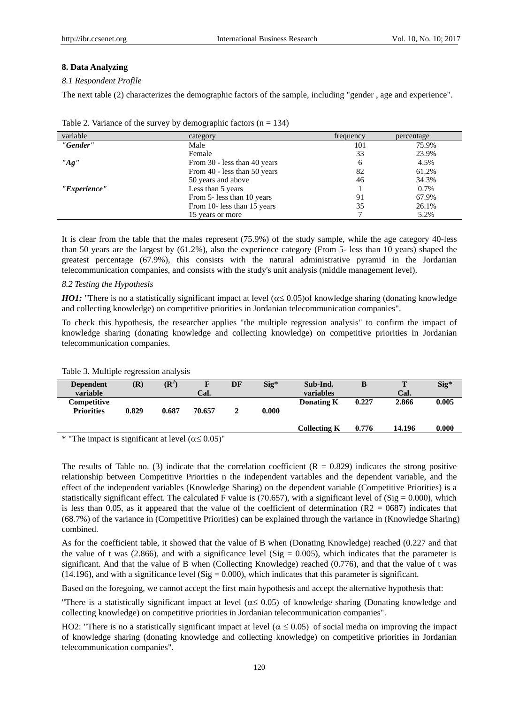## **8. Data Analyzing**

*8.1 Respondent Profile*

The next table (2) characterizes the demographic factors of the sample, including "gender , age and experience".

| variable     | category                     | trequency | percentage |
|--------------|------------------------------|-----------|------------|
| "Gender"     | Male                         | 101       | 75.9%      |
|              | Female                       | 33        | 23.9%      |
| "Ag"         | From 30 - less than 40 years | 6         | 4.5%       |
|              | From 40 - less than 50 years | 82        | 61.2%      |
|              | 50 years and above           | 46        | 34.3%      |
| "Experience" | Less than 5 years            |           | $0.7\%$    |
|              | From 5- less than 10 years   | 91        | 67.9%      |
|              | From 10- less than 15 years  | 35        | 26.1%      |
|              | 15 years or more             |           | 5.2%       |

|  |  |  | Table 2. Variance of the survey by demographic factors $(n = 134)$ |  |  |  |
|--|--|--|--------------------------------------------------------------------|--|--|--|
|--|--|--|--------------------------------------------------------------------|--|--|--|

It is clear from the table that the males represent (75.9%) of the study sample, while the age category 40-less than 50 years are the largest by (61.2%), also the experience category (From 5- less than 10 years) shaped the greatest percentage (67.9%), this consists with the natural administrative pyramid in the Jordanian telecommunication companies, and consists with the study's unit analysis (middle management level).

### *8.2 Testing the Hypothesis*

*HO1:* "There is no a statistically significant impact at level  $(\alpha \le 0.05)$  of knowledge sharing (donating knowledge and collecting knowledge) on competitive priorities in Jordanian telecommunication companies".

To check this hypothesis, the researcher applies "the multiple regression analysis" to confirm the impact of knowledge sharing (donating knowledge and collecting knowledge) on competitive priorities in Jordanian telecommunication companies.

| <b>Dependent</b><br>variable | $(\mathbf{R})$ | $(\mathbf{R}^2)$ | F<br>Cal. | DF | Sig*  | Sub-Ind.<br>variables | в     | т<br>Cal. | Sig*  |
|------------------------------|----------------|------------------|-----------|----|-------|-----------------------|-------|-----------|-------|
| Competitive                  |                |                  |           |    |       | Donating K            | 0.227 | 2.866     | 0.005 |
|                              |                |                  |           |    |       |                       |       |           |       |
| <b>Priorities</b>            | 0.829          | 0.687            | 70.657    |    | 0.000 |                       |       |           |       |
|                              |                |                  |           |    |       |                       |       |           |       |
|                              |                |                  |           |    |       | <b>Collecting K</b>   | 0.776 | 14.196    | 0.000 |

#### Table 3. Multiple regression analysis

\* "The impact is significant at level  $(\alpha \le 0.05)$ "

The results of Table no. (3) indicate that the correlation coefficient  $(R = 0.829)$  indicates the strong positive relationship between Competitive Priorities n the independent variables and the dependent variable, and the effect of the independent variables (Knowledge Sharing) on the dependent variable (Competitive Priorities) is a statistically significant effect. The calculated F value is (70.657), with a significant level of (Sig = 0.000), which is less than 0.05, as it appeared that the value of the coefficient of determination  $(R2 = 0687)$  indicates that (68.7%) of the variance in (Competitive Priorities) can be explained through the variance in (Knowledge Sharing) combined.

As for the coefficient table, it showed that the value of B when (Donating Knowledge) reached (0.227 and that the value of t was (2.866), and with a significance level (Sig =  $0.005$ ), which indicates that the parameter is significant. And that the value of B when (Collecting Knowledge) reached (0.776), and that the value of t was  $(14.196)$ , and with a significance level  $(Sig = 0.000)$ , which indicates that this parameter is significant.

Based on the foregoing, we cannot accept the first main hypothesis and accept the alternative hypothesis that:

"There is a statistically significant impact at level  $(\alpha \le 0.05)$  of knowledge sharing (Donating knowledge and collecting knowledge) on competitive priorities in Jordanian telecommunication companies".

HO2: "There is no a statistically significant impact at level ( $\alpha \le 0.05$ ) of social media on improving the impact of knowledge sharing (donating knowledge and collecting knowledge) on competitive priorities in Jordanian telecommunication companies".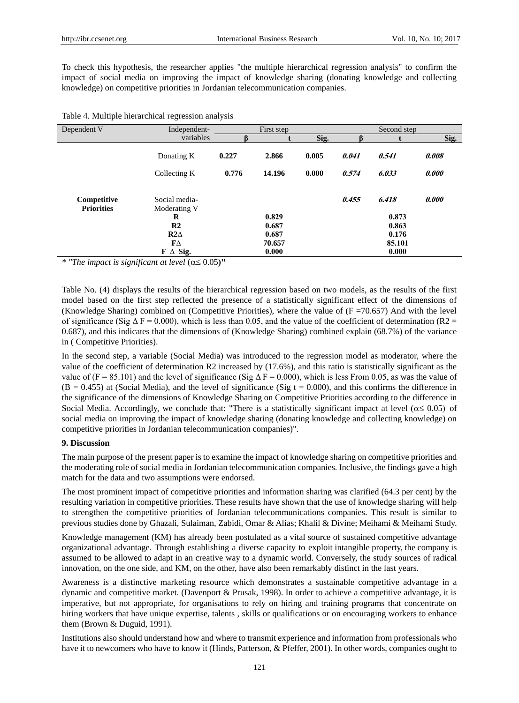To check this hypothesis, the researcher applies "the multiple hierarchical regression analysis" to confirm the impact of social media on improving the impact of knowledge sharing (donating knowledge and collecting knowledge) on competitive priorities in Jordanian telecommunication companies.

| Dependent V                      | Independent-                  | First step |        | Second step |       |        |       |
|----------------------------------|-------------------------------|------------|--------|-------------|-------|--------|-------|
|                                  | variables                     |            |        | Sig.        |       |        | Sig.  |
|                                  | Donating K                    | 0.227      | 2.866  | 0.005       | 0.041 | 0.541  | 0.008 |
|                                  | Collecting K                  | 0.776      | 14.196 | 0.000       | 0.574 | 6.033  | 0.000 |
| Competitive<br><b>Priorities</b> | Social media-<br>Moderating V |            |        |             | 0.455 | 6.418  | 0.000 |
|                                  | R                             |            | 0.829  |             |       | 0.873  |       |
|                                  | R <sub>2</sub>                |            | 0.687  |             |       | 0.863  |       |
|                                  | $R2\triangle$                 |            | 0.687  |             |       | 0.176  |       |
|                                  | $F\Delta$                     |            | 70.657 |             |       | 85.101 |       |
|                                  | $\mathbf{F} \triangle$ Sig.   |            | 0.000  |             |       | 0.000  |       |

|  | Table 4. Multiple hierarchical regression analysis |  |
|--|----------------------------------------------------|--|
|  |                                                    |  |

 $*$  "The impact is significant at level  $(\alpha \leq 0.05)$ "

Table No. (4) displays the results of the hierarchical regression based on two models, as the results of the first model based on the first step reflected the presence of a statistically significant effect of the dimensions of (Knowledge Sharing) combined on (Competitive Priorities), where the value of  $(F = 70.657)$  And with the level of significance (Sig  $\Delta$  F = 0.000), which is less than 0.05, and the value of the coefficient of determination (R2 = 0.687), and this indicates that the dimensions of (Knowledge Sharing) combined explain (68.7%) of the variance in ( Competitive Priorities).

In the second step, a variable (Social Media) was introduced to the regression model as moderator, where the value of the coefficient of determination R2 increased by (17.6%), and this ratio is statistically significant as the value of  $(F = 85.101)$  and the level of significance (Sig  $\Delta F = 0.000$ ), which is less From 0.05, as was the value of  $(B = 0.455)$  at (Social Media), and the level of significance (Sig t = 0.000), and this confirms the difference in the significance of the dimensions of Knowledge Sharing on Competitive Priorities according to the difference in Social Media. Accordingly, we conclude that: "There is a statistically significant impact at level ( $\alpha \le 0.05$ ) of social media on improving the impact of knowledge sharing (donating knowledge and collecting knowledge) on competitive priorities in Jordanian telecommunication companies)".

# **9. Discussion**

The main purpose of the present paper is to examine the impact of knowledge sharing on competitive priorities and the moderating role of social media in Jordanian telecommunication companies. Inclusive, the findings gave a high match for the data and two assumptions were endorsed.

The most prominent impact of competitive priorities and information sharing was clarified (64.3 per cent) by the resulting variation in competitive priorities. These results have shown that the use of knowledge sharing will help to strengthen the competitive priorities of Jordanian telecommunications companies. This result is similar to previous studies done by Ghazali, Sulaiman, Zabidi, Omar & Alias; Khalil & Divine; Meihami & Meihami Study.

Knowledge management (KM) has already been postulated as a vital source of sustained competitive advantage organizational advantage. Through establishing a diverse capacity to exploit intangible property, the company is assumed to be allowed to adapt in an creative way to a dynamic world. Conversely, the study sources of radical innovation, on the one side, and KM, on the other, have also been remarkably distinct in the last years.

Awareness is a distinctive marketing resource which demonstrates a sustainable competitive advantage in a dynamic and competitive market. (Davenport & Prusak, 1998). In order to achieve a competitive advantage, it is imperative, but not appropriate, for organisations to rely on hiring and training programs that concentrate on hiring workers that have unique expertise, talents , skills or qualifications or on encouraging workers to enhance them (Brown & Duguid, 1991).

Institutions also should understand how and where to transmit experience and information from professionals who have it to newcomers who have to know it (Hinds, Patterson, & Pfeffer, 2001). In other words, companies ought to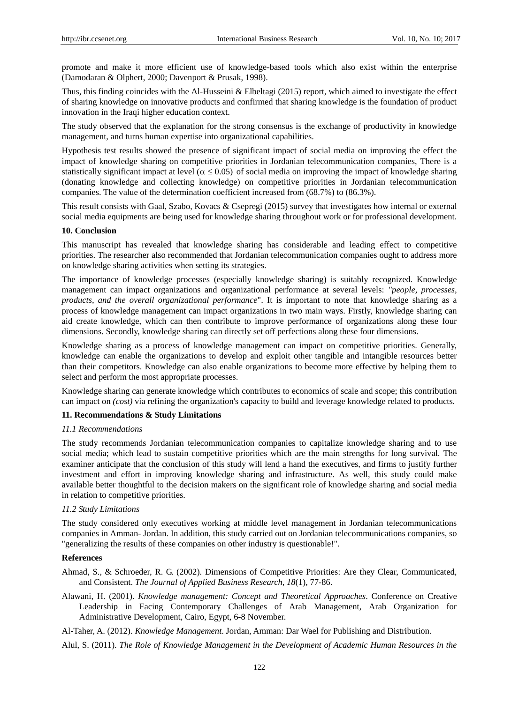promote and make it more efficient use of knowledge-based tools which also exist within the enterprise (Damodaran & Olphert, 2000; Davenport & Prusak, 1998).

Thus, this finding coincides with the Al-Husseini & Elbeltagi (2015) report, which aimed to investigate the effect of sharing knowledge on innovative products and confirmed that sharing knowledge is the foundation of product innovation in the Iraqi higher education context.

The study observed that the explanation for the strong consensus is the exchange of productivity in knowledge management, and turns human expertise into organizational capabilities.

Hypothesis test results showed the presence of significant impact of social media on improving the effect the impact of knowledge sharing on competitive priorities in Jordanian telecommunication companies, There is a statistically significant impact at level ( $\alpha \le 0.05$ ) of social media on improving the impact of knowledge sharing (donating knowledge and collecting knowledge) on competitive priorities in Jordanian telecommunication companies. The value of the determination coefficient increased from (68.7%) to (86.3%).

This result consists with Gaal, Szabo, Kovacs & Csepregi (2015) survey that investigates how internal or external social media equipments are being used for knowledge sharing throughout work or for professional development.

# **10. Conclusion**

This manuscript has revealed that knowledge sharing has considerable and leading effect to competitive priorities. The researcher also recommended that Jordanian telecommunication companies ought to address more on knowledge sharing activities when setting its strategies.

The importance of knowledge processes (especially knowledge sharing) is suitably recognized. Knowledge management can impact organizations and organizational performance at several levels: *"people, processes, products, and the overall organizational performance*". It is important to note that knowledge sharing as a process of knowledge management can impact organizations in two main ways. Firstly, knowledge sharing can aid create knowledge, which can then contribute to improve performance of organizations along these four dimensions. Secondly, knowledge sharing can directly set off perfections along these four dimensions.

Knowledge sharing as a process of knowledge management can impact on competitive priorities. Generally, knowledge can enable the organizations to develop and exploit other tangible and intangible resources better than their competitors. Knowledge can also enable organizations to become more effective by helping them to select and perform the most appropriate processes.

Knowledge sharing can generate knowledge which contributes to economics of scale and scope; this contribution can impact on *(cost)* via refining the organization's capacity to build and leverage knowledge related to products.

## **11. Recommendations & Study Limitations**

### *11.1 Recommendations*

The study recommends Jordanian telecommunication companies to capitalize knowledge sharing and to use social media; which lead to sustain competitive priorities which are the main strengths for long survival. The examiner anticipate that the conclusion of this study will lend a hand the executives, and firms to justify further investment and effort in improving knowledge sharing and infrastructure. As well, this study could make available better thoughtful to the decision makers on the significant role of knowledge sharing and social media in relation to competitive priorities.

## *11.2 Study Limitations*

The study considered only executives working at middle level management in Jordanian telecommunications companies in Amman- Jordan. In addition, this study carried out on Jordanian telecommunications companies, so "generalizing the results of these companies on other industry is questionable!".

## **References**

- Ahmad, S., & Schroeder, R. G. (2002). Dimensions of Competitive Priorities: Are they Clear, Communicated, and Consistent. *The Journal of Applied Business Research*, *18*(1), 77-86.
- Alawani, H. (2001). *Knowledge management: Concept and Theoretical Approaches*. Conference on Creative Leadership in Facing Contemporary Challenges of Arab Management, Arab Organization for Administrative Development, Cairo, Egypt, 6-8 November.

Al-Taher, A. (2012). *Knowledge Management*. Jordan, Amman: Dar Wael for Publishing and Distribution.

Alul, S. (2011). *The Role of Knowledge Management in the Development of Academic Human Resources in the*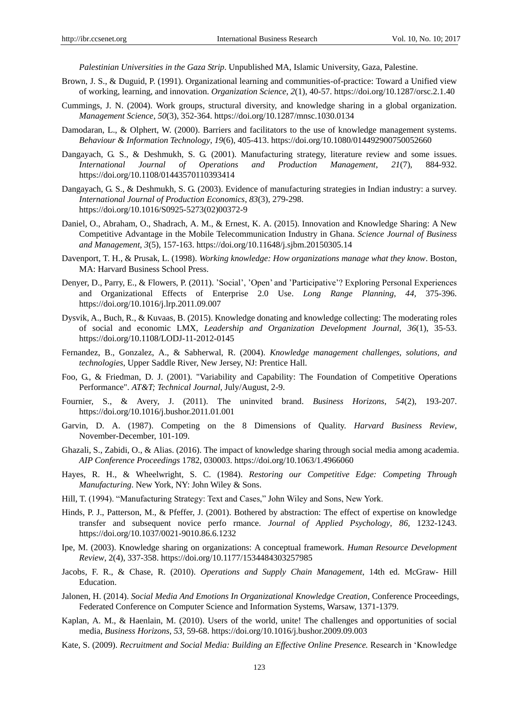*Palestinian Universities in the Gaza Strip*. Unpublished MA, Islamic University, Gaza, Palestine.

- Brown, J. S., & Duguid, P. (1991). Organizational learning and communities-of-practice: Toward a Unified view of working, learning, and innovation. *Organization Science*, *2*(1), 40-57. https://doi.org/10.1287/orsc.2.1.40
- Cummings, J. N. (2004). Work groups, structural diversity, and knowledge sharing in a global organization. *Management Science*, *50*(3), 352-364. https://doi.org/10.1287/mnsc.1030.0134
- Damodaran, L., & Olphert, W. (2000). Barriers and facilitators to the use of knowledge management systems. *Behaviour & Information Technology*, *19*(6), 405-413. https://doi.org/10.1080/014492900750052660
- Dangayach, G. S., & Deshmukh, S. G. (2001). Manufacturing strategy, literature review and some issues. *International Journal of Operations and Production Management*, *21*(7), 884-932. https://doi.org/10.1108/01443570110393414
- Dangayach, G. S., & Deshmukh, S. G. (2003). Evidence of manufacturing strategies in Indian industry: a survey. *International Journal of Production Economics*, *83*(3), 279-298. https://doi.org/10.1016/S0925-5273(02)00372-9
- Daniel, O., Abraham, O., Shadrach, A. M., & Ernest, K. A. (2015). Innovation and Knowledge Sharing: A New Competitive Advantage in the Mobile Telecommunication Industry in Ghana. *Science Journal of Business and Management*, *3*(5), 157-163. https://doi.org/10.11648/j.sjbm.20150305.14
- Davenport, T. H., & Prusak, L. (1998). *Working knowledge: How organizations manage what they know*. Boston, MA: Harvard Business School Press.
- Denyer, D., Parry, E., & Flowers, P. (2011). 'Social', 'Open' and 'Participative'? Exploring Personal Experiences and Organizational Effects of Enterprise 2.0 Use. *Long Range Planning*, *44,* 375-396. https://doi.org/10.1016/j.lrp.2011.09.007
- Dysvik, A., Buch, R., & Kuvaas, B. (2015). Knowledge donating and knowledge collecting: The moderating roles of social and economic LMX, *Leadership and Organization Development Journal, 36*(1), 35-53. https://doi.org/10.1108/LODJ-11-2012-0145
- Fernandez, B., Gonzalez, A., & Sabherwal, R. (2004). *Knowledge management challenges, solutions, and technologies*, Upper Saddle River, New Jersey, NJ: Prentice Hall.
- Foo, G., & Friedman, D. J. (2001). "Variability and Capability: The Foundation of Competitive Operations Performance". *AT&T; Technical Journal*, July/August, 2-9.
- Fournier, S., & Avery, J. (2011). The uninvited brand. *Business Horizons*, *54*(2), 193-207. https://doi.org/10.1016/j.bushor.2011.01.001
- Garvin, D. A. (1987). Competing on the 8 Dimensions of Quality. *Harvard Business Review*, November-December, 101-109.
- [Ghazali,](http://aip.scitation.org/author/Ghazali%2C+Saadiah) [S.,](http://aip.scitation.org/author/Sulaiman%2C+Nor+Intan+Saniah) [Zabidi,](http://aip.scitation.org/author/Zabidi%2C+Nerda+Zura) [O.,](http://aip.scitation.org/author/Omar%2C+Mohd+Faizal) [& Alias.](http://aip.scitation.org/author/Alias%2C+Rose+Alinda) (2016). The impact of knowledge sharing through social media among academia. *AIP Conference Proceedings* 1782, 030003. https://doi.org/10.1063/1.4966060
- Hayes, R. H., & Wheelwright, S. C. (1984). *Restoring our Competitive Edge: Competing Through Manufacturing*. New York, NY: John Wiley & Sons.
- Hill, T. (1994). "Manufacturing Strategy: Text and Cases," John Wiley and Sons, New York.
- Hinds, P. J., Patterson, M., & Pfeffer, J. (2001). Bothered by abstraction: The effect of expertise on knowledge transfer and subsequent novice perfo rmance. *Journal of Applied Psychology*, *86,* 1232-1243. https://doi.org/10.1037/0021-9010.86.6.1232
- Ipe, M. (2003). Knowledge sharing on organizations: A conceptual framework. *Human Resource Development Review*, 2(4), 337-358. https://doi.org/10.1177/1534484303257985
- Jacobs, F. R., & Chase, R. (2010). *Operations and Supply Chain Management*, 14th ed. McGraw- Hill Education.
- Jalonen, H. (2014). *Social Media And Emotions In Organizational Knowledge Creation*, Conference Proceedings, Federated Conference on Computer Science and Information Systems, Warsaw, 1371-1379.
- Kaplan, A. M., & Haenlain, M. (2010). Users of the world, unite! The challenges and opportunities of social media, *Business Horizons*, *53,* 59-68. https://doi.org/10.1016/j.bushor.2009.09.003
- Kate, S. (2009). *Recruitment and Social Media: Building an Effective Online Presence*. Research in 'Knowledge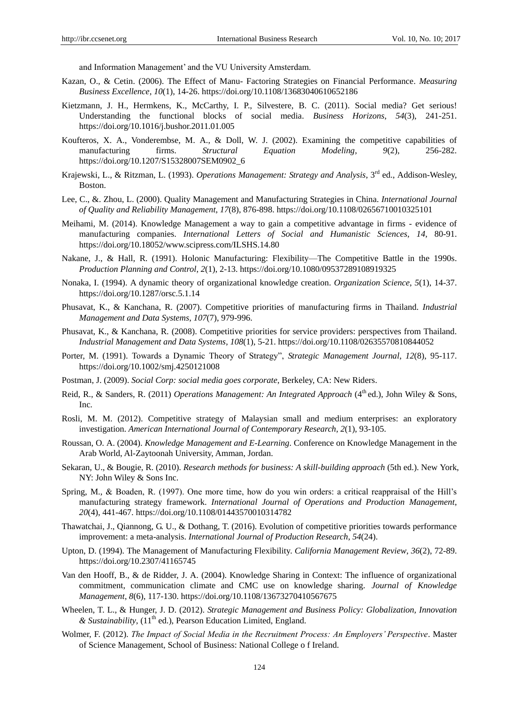and Information Management' and the VU University Amsterdam.

- Kazan, O., & Cetin. (2006). The Effect of Manu- Factoring Strategies on Financial Performance. *Measuring Business Excellence*, *10*(1), 14-26. https://doi.org/10.1108/13683040610652186
- Kietzmann, J. H., Hermkens, K., McCarthy, I. P., Silvestere, B. C. (2011). Social media? Get serious! Understanding the functional blocks of social media. *Business Horizons*, *54*(3), 241-251. https://doi.org/10.1016/j.bushor.2011.01.005
- Koufteros, X. A., Vonderembse, M. A., & Doll, W. J. (2002). Examining the competitive capabilities of manufacturing firms. *Structural Equation Modeling*, *9*(2), 256-282. https://doi.org/10.1207/S15328007SEM0902\_6
- Krajewski, L., & Ritzman, L. (1993). *Operations Management: Strategy and Analysis*, 3rd ed., Addison-Wesley, Boston.
- Lee, C., &. Zhou, L. (2000). Quality Management and Manufacturing Strategies in China. *International Journal of Quality and Reliability Management*, *17*(8), 876-898. https://doi.org/10.1108/02656710010325101
- Meihami, M. (2014). Knowledge Management a way to gain a competitive advantage in firms evidence of manufacturing companies. *International Letters of Social and Humanistic Sciences*, *14,* 80-91. https://doi.org/10.18052/www.scipress.com/ILSHS.14.80
- Nakane, J., & Hall, R. (1991). Holonic Manufacturing: Flexibility—The Competitive Battle in the 1990s. *Production Planning and Control*, *2*(1), 2-13. https://doi.org/10.1080/09537289108919325
- Nonaka, I. (1994). A dynamic theory of organizational knowledge creation. *Organization Science*, *5*(1), 14-37. https://doi.org/10.1287/orsc.5.1.14
- Phusavat, K., & Kanchana, R. (2007). Competitive priorities of manufacturing firms in Thailand. *Industrial Management and Data Systems*, *107*(7), 979-996.
- Phusavat, K., & Kanchana, R. (2008). Competitive priorities for service providers: perspectives from Thailand. *Industrial Management and Data Systems*, *108*(1), 5-21. https://doi.org/10.1108/02635570810844052
- Porter, M. (1991). Towards a Dynamic Theory of Strategy", *Strategic Management Journal*, 12(8), 95-117. https://doi.org/10.1002/smj.4250121008
- Postman, J. (2009). *Social Corp: social media goes corporate*, Berkeley, CA: New Riders.
- Reid, R., & Sanders, R. (2011) *Operations Management: An Integrated Approach* (4<sup>th</sup> ed.), John Wiley & Sons, Inc.
- Rosli, M. M. (2012). Competitive strategy of Malaysian small and medium enterprises: an exploratory investigation. *American International Journal of Contemporary Research*, *2*(1), 93-105.
- Roussan, O. A. (2004). *Knowledge Management and E-Learning*. Conference on Knowledge Management in the Arab World, Al-Zaytoonah University, Amman, Jordan.
- Sekaran, U., & Bougie, R. (2010). *Research methods for business: A skill-building approach* (5th ed.). New York, NY: John Wiley & Sons Inc.
- Spring, M., & Boaden, R. (1997). One more time, how do you win orders: a critical reappraisal of the Hill's manufacturing strategy framework. *International Journal of Operations and Production Management*, *20*(4), 441-467. https://doi.org/10.1108/01443570010314782
- Thawatchai, J., Qiannong, G. U., & Dothang, T. (2016). Evolution of competitive priorities towards performance improvement: a meta-analysis. *[International Journal of Production Research](http://www.tandfonline.com/toc/tprs20/54/24)*, *54*(24).
- Upton, D. (1994). The Management of Manufacturing Flexibility. *California Management Review*, *36*(2), 72-89. https://doi.org/10.2307/41165745
- Van den Hooff, B., & de Ridder, J. A. (2004). Knowledge Sharing in Context: The influence of organizational commitment, communication climate and CMC use on knowledge sharing. *Journal of Knowledge Management*, *8*(6), 117-130. https://doi.org/10.1108/13673270410567675
- Wheelen, T. L., & Hunger, J. D. (2012). *Strategic Management and Business Policy: Globalization, Innovation & Sustainability*, (11th ed.), Pearson Education Limited, England.
- Wolmer, F. (2012). *The Impact of Social Media in the Recruitment Process: An Employers' Perspective*. Master of Science Management, School of Business: National College o f Ireland.